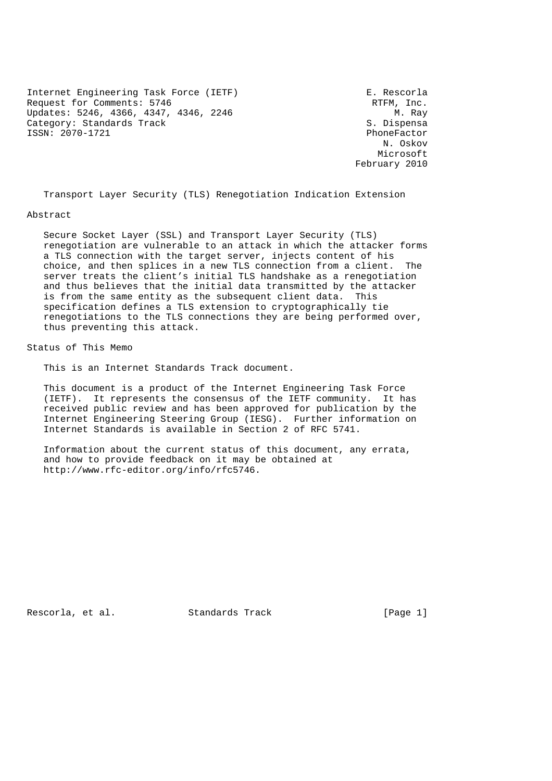Internet Engineering Task Force (IETF) The South R. Rescorla Request for Comments: 5746<br>
Updates: 5246, 4366, 4347, 4346, 2246<br>
M. Ray Updates: 5246, 4366, 4347, 4346, 2246 Category: Standards Track S. Dispensa ISSN: 2070-1721 PhoneFactor

 N. Oskov Microsoft February 2010

Transport Layer Security (TLS) Renegotiation Indication Extension

#### Abstract

 Secure Socket Layer (SSL) and Transport Layer Security (TLS) renegotiation are vulnerable to an attack in which the attacker forms a TLS connection with the target server, injects content of his choice, and then splices in a new TLS connection from a client. The server treats the client's initial TLS handshake as a renegotiation and thus believes that the initial data transmitted by the attacker is from the same entity as the subsequent client data. This specification defines a TLS extension to cryptographically tie renegotiations to the TLS connections they are being performed over, thus preventing this attack.

Status of This Memo

This is an Internet Standards Track document.

 This document is a product of the Internet Engineering Task Force (IETF). It represents the consensus of the IETF community. It has received public review and has been approved for publication by the Internet Engineering Steering Group (IESG). Further information on Internet Standards is available in Section 2 of RFC 5741.

 Information about the current status of this document, any errata, and how to provide feedback on it may be obtained at http://www.rfc-editor.org/info/rfc5746.

Rescorla, et al. Standards Track [Page 1]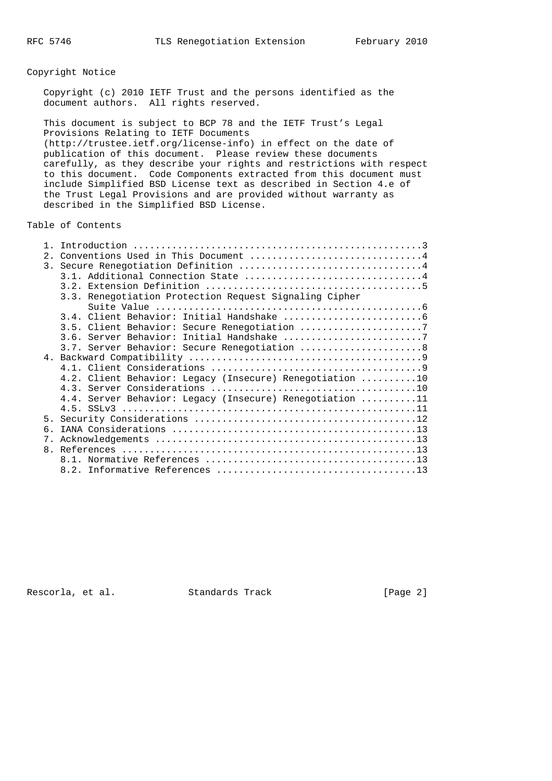## Copyright Notice

 Copyright (c) 2010 IETF Trust and the persons identified as the document authors. All rights reserved.

 This document is subject to BCP 78 and the IETF Trust's Legal Provisions Relating to IETF Documents (http://trustee.ietf.org/license-info) in effect on the date of publication of this document. Please review these documents carefully, as they describe your rights and restrictions with respect to this document. Code Components extracted from this document must include Simplified BSD License text as described in Section 4.e of the Trust Legal Provisions and are provided without warranty as described in the Simplified BSD License.

Table of Contents

| 2.1              | Conventions Used in This Document 4                      |  |  |  |  |  |
|------------------|----------------------------------------------------------|--|--|--|--|--|
| $\overline{3}$ . |                                                          |  |  |  |  |  |
|                  |                                                          |  |  |  |  |  |
|                  |                                                          |  |  |  |  |  |
|                  | 3.3. Renegotiation Protection Request Signaling Cipher   |  |  |  |  |  |
|                  |                                                          |  |  |  |  |  |
|                  |                                                          |  |  |  |  |  |
|                  | 3.5. Client Behavior: Secure Renegotiation 7             |  |  |  |  |  |
|                  | 3.6. Server Behavior: Initial Handshake 7                |  |  |  |  |  |
|                  | 3.7. Server Behavior: Secure Renegotiation  8            |  |  |  |  |  |
|                  |                                                          |  |  |  |  |  |
|                  |                                                          |  |  |  |  |  |
|                  | 4.2. Client Behavior: Legacy (Insecure) Renegotiation 10 |  |  |  |  |  |
|                  |                                                          |  |  |  |  |  |
|                  | 4.4. Server Behavior: Legacy (Insecure) Renegotiation 11 |  |  |  |  |  |
|                  |                                                          |  |  |  |  |  |
| 5 <sub>1</sub>   |                                                          |  |  |  |  |  |
| б.               |                                                          |  |  |  |  |  |
| 7.               |                                                          |  |  |  |  |  |
|                  |                                                          |  |  |  |  |  |
|                  |                                                          |  |  |  |  |  |
|                  |                                                          |  |  |  |  |  |

Rescorla, et al. Standards Track [Page 2]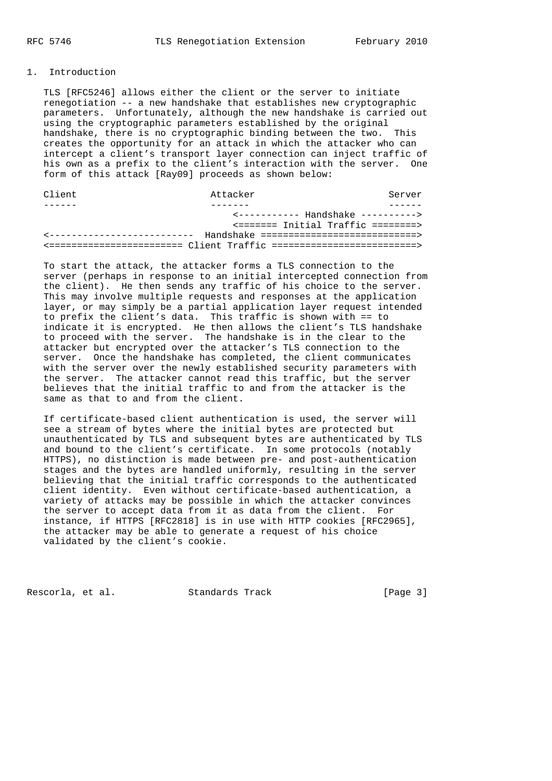## 1. Introduction

 TLS [RFC5246] allows either the client or the server to initiate renegotiation -- a new handshake that establishes new cryptographic parameters. Unfortunately, although the new handshake is carried out using the cryptographic parameters established by the original handshake, there is no cryptographic binding between the two. This creates the opportunity for an attack in which the attacker who can intercept a client's transport layer connection can inject traffic of his own as a prefix to the client's interaction with the server. One form of this attack [Ray09] proceeds as shown below:

| Client                                        | Attacker                                  |  |  | Server                             |
|-----------------------------------------------|-------------------------------------------|--|--|------------------------------------|
|                                               |                                           |  |  |                                    |
| $\leftarrow$ ---------- Handshake ----------> |                                           |  |  |                                    |
|                                               |                                           |  |  | <======= Initial Traffic ========> |
| ____________________________                  | Handshake =============================== |  |  |                                    |
|                                               |                                           |  |  |                                    |
|                                               |                                           |  |  |                                    |

 To start the attack, the attacker forms a TLS connection to the server (perhaps in response to an initial intercepted connection from the client). He then sends any traffic of his choice to the server. This may involve multiple requests and responses at the application layer, or may simply be a partial application layer request intended to prefix the client's data. This traffic is shown with == to indicate it is encrypted. He then allows the client's TLS handshake to proceed with the server. The handshake is in the clear to the attacker but encrypted over the attacker's TLS connection to the server. Once the handshake has completed, the client communicates with the server over the newly established security parameters with the server. The attacker cannot read this traffic, but the server believes that the initial traffic to and from the attacker is the same as that to and from the client.

 If certificate-based client authentication is used, the server will see a stream of bytes where the initial bytes are protected but unauthenticated by TLS and subsequent bytes are authenticated by TLS and bound to the client's certificate. In some protocols (notably HTTPS), no distinction is made between pre- and post-authentication stages and the bytes are handled uniformly, resulting in the server believing that the initial traffic corresponds to the authenticated client identity. Even without certificate-based authentication, a variety of attacks may be possible in which the attacker convinces the server to accept data from it as data from the client. For instance, if HTTPS [RFC2818] is in use with HTTP cookies [RFC2965], the attacker may be able to generate a request of his choice validated by the client's cookie.

Rescorla, et al. Standards Track [Page 3]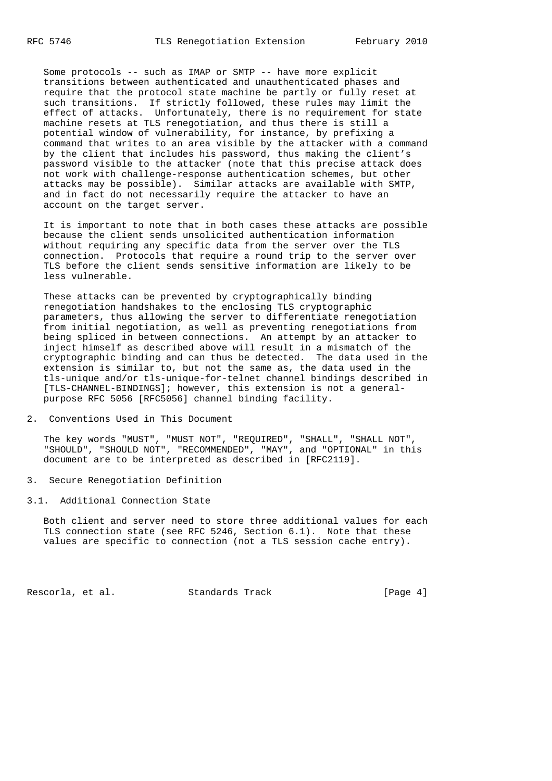Some protocols -- such as IMAP or SMTP -- have more explicit transitions between authenticated and unauthenticated phases and require that the protocol state machine be partly or fully reset at such transitions. If strictly followed, these rules may limit the effect of attacks. Unfortunately, there is no requirement for state machine resets at TLS renegotiation, and thus there is still a potential window of vulnerability, for instance, by prefixing a command that writes to an area visible by the attacker with a command by the client that includes his password, thus making the client's password visible to the attacker (note that this precise attack does not work with challenge-response authentication schemes, but other attacks may be possible). Similar attacks are available with SMTP, and in fact do not necessarily require the attacker to have an account on the target server.

 It is important to note that in both cases these attacks are possible because the client sends unsolicited authentication information without requiring any specific data from the server over the TLS connection. Protocols that require a round trip to the server over TLS before the client sends sensitive information are likely to be less vulnerable.

 These attacks can be prevented by cryptographically binding renegotiation handshakes to the enclosing TLS cryptographic parameters, thus allowing the server to differentiate renegotiation from initial negotiation, as well as preventing renegotiations from being spliced in between connections. An attempt by an attacker to inject himself as described above will result in a mismatch of the cryptographic binding and can thus be detected. The data used in the extension is similar to, but not the same as, the data used in the tls-unique and/or tls-unique-for-telnet channel bindings described in [TLS-CHANNEL-BINDINGS]; however, this extension is not a general purpose RFC 5056 [RFC5056] channel binding facility.

2. Conventions Used in This Document

 The key words "MUST", "MUST NOT", "REQUIRED", "SHALL", "SHALL NOT", "SHOULD", "SHOULD NOT", "RECOMMENDED", "MAY", and "OPTIONAL" in this document are to be interpreted as described in [RFC2119].

3. Secure Renegotiation Definition

3.1. Additional Connection State

 Both client and server need to store three additional values for each TLS connection state (see RFC 5246, Section 6.1). Note that these values are specific to connection (not a TLS session cache entry).

Rescorla, et al. Standards Track [Page 4]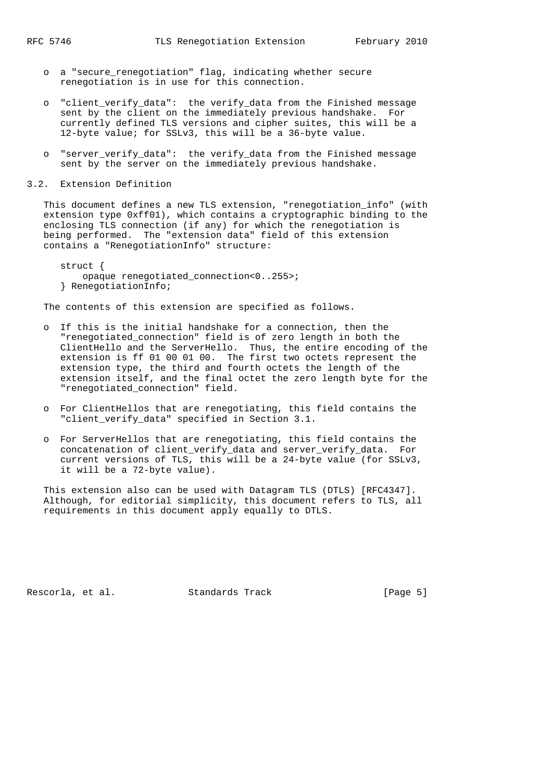- o a "secure\_renegotiation" flag, indicating whether secure renegotiation is in use for this connection.
- o "client\_verify\_data": the verify\_data from the Finished message sent by the client on the immediately previous handshake. For currently defined TLS versions and cipher suites, this will be a 12-byte value; for SSLv3, this will be a 36-byte value.
- o "server verify data": the verify data from the Finished message sent by the server on the immediately previous handshake.
- 3.2. Extension Definition

 This document defines a new TLS extension, "renegotiation\_info" (with extension type 0xff01), which contains a cryptographic binding to the enclosing TLS connection (if any) for which the renegotiation is being performed. The "extension data" field of this extension contains a "RenegotiationInfo" structure:

 struct { opaque renegotiated\_connection<0..255>; } RenegotiationInfo;

The contents of this extension are specified as follows.

- o If this is the initial handshake for a connection, then the "renegotiated\_connection" field is of zero length in both the ClientHello and the ServerHello. Thus, the entire encoding of the extension is ff 01 00 01 00. The first two octets represent the extension type, the third and fourth octets the length of the extension itself, and the final octet the zero length byte for the "renegotiated\_connection" field.
- o For ClientHellos that are renegotiating, this field contains the "client\_verify\_data" specified in Section 3.1.
- o For ServerHellos that are renegotiating, this field contains the concatenation of client\_verify\_data and server\_verify\_data. For current versions of TLS, this will be a 24-byte value (for SSLv3, it will be a 72-byte value).

 This extension also can be used with Datagram TLS (DTLS) [RFC4347]. Although, for editorial simplicity, this document refers to TLS, all requirements in this document apply equally to DTLS.

Rescorla, et al. Standards Track [Page 5]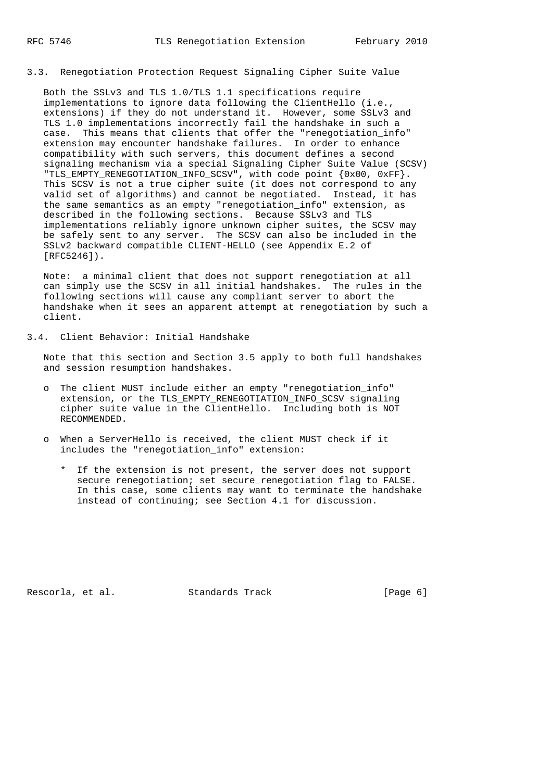3.3. Renegotiation Protection Request Signaling Cipher Suite Value

 Both the SSLv3 and TLS 1.0/TLS 1.1 specifications require implementations to ignore data following the ClientHello (i.e., extensions) if they do not understand it. However, some SSLv3 and TLS 1.0 implementations incorrectly fail the handshake in such a case. This means that clients that offer the "renegotiation\_info" extension may encounter handshake failures. In order to enhance compatibility with such servers, this document defines a second signaling mechanism via a special Signaling Cipher Suite Value (SCSV) "TLS\_EMPTY\_RENEGOTIATION\_INFO\_SCSV", with code point {0x00, 0xFF}. This SCSV is not a true cipher suite (it does not correspond to any valid set of algorithms) and cannot be negotiated. Instead, it has the same semantics as an empty "renegotiation\_info" extension, as described in the following sections. Because SSLv3 and TLS implementations reliably ignore unknown cipher suites, the SCSV may be safely sent to any server. The SCSV can also be included in the SSLv2 backward compatible CLIENT-HELLO (see Appendix E.2 of [RFC5246]).

 Note: a minimal client that does not support renegotiation at all can simply use the SCSV in all initial handshakes. The rules in the following sections will cause any compliant server to abort the handshake when it sees an apparent attempt at renegotiation by such a client.

3.4. Client Behavior: Initial Handshake

 Note that this section and Section 3.5 apply to both full handshakes and session resumption handshakes.

- o The client MUST include either an empty "renegotiation\_info" extension, or the TLS\_EMPTY\_RENEGOTIATION\_INFO\_SCSV signaling cipher suite value in the ClientHello. Including both is NOT RECOMMENDED.
- o When a ServerHello is received, the client MUST check if it includes the "renegotiation\_info" extension:
	- \* If the extension is not present, the server does not support secure renegotiation; set secure\_renegotiation flag to FALSE. In this case, some clients may want to terminate the handshake instead of continuing; see Section 4.1 for discussion.

Rescorla, et al. Standards Track [Page 6]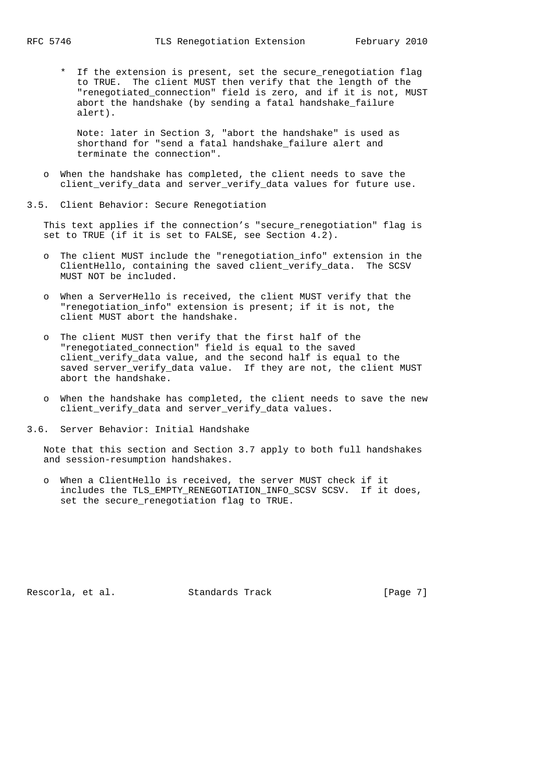\* If the extension is present, set the secure\_renegotiation flag to TRUE. The client MUST then verify that the length of the "renegotiated\_connection" field is zero, and if it is not, MUST abort the handshake (by sending a fatal handshake\_failure alert).

 Note: later in Section 3, "abort the handshake" is used as shorthand for "send a fatal handshake\_failure alert and terminate the connection".

- o When the handshake has completed, the client needs to save the client verify data and server verify data values for future use.
- 3.5. Client Behavior: Secure Renegotiation

 This text applies if the connection's "secure\_renegotiation" flag is set to TRUE (if it is set to FALSE, see Section 4.2).

- o The client MUST include the "renegotiation\_info" extension in the ClientHello, containing the saved client\_verify\_data. The SCSV MUST NOT be included.
- o When a ServerHello is received, the client MUST verify that the "renegotiation\_info" extension is present; if it is not, the client MUST abort the handshake.
- o The client MUST then verify that the first half of the "renegotiated\_connection" field is equal to the saved client\_verify\_data value, and the second half is equal to the saved server\_verify\_data value. If they are not, the client MUST abort the handshake.
- o When the handshake has completed, the client needs to save the new client\_verify\_data and server\_verify\_data values.
- 3.6. Server Behavior: Initial Handshake

 Note that this section and Section 3.7 apply to both full handshakes and session-resumption handshakes.

 o When a ClientHello is received, the server MUST check if it includes the TLS\_EMPTY\_RENEGOTIATION\_INFO\_SCSV SCSV. If it does, set the secure\_renegotiation flag to TRUE.

Rescorla, et al. Standards Track [Page 7]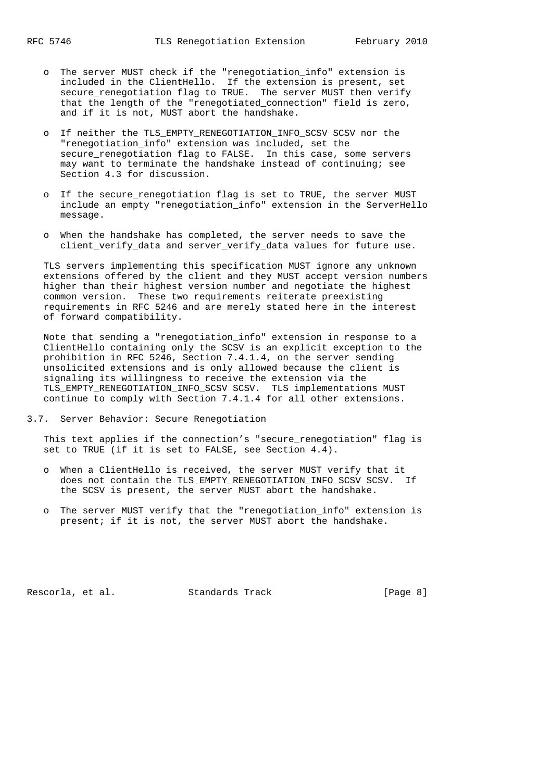- o The server MUST check if the "renegotiation\_info" extension is included in the ClientHello. If the extension is present, set secure renegotiation flag to TRUE. The server MUST then verify that the length of the "renegotiated\_connection" field is zero, and if it is not, MUST abort the handshake.
	- o If neither the TLS\_EMPTY\_RENEGOTIATION\_INFO\_SCSV SCSV nor the "renegotiation\_info" extension was included, set the secure renegotiation flag to FALSE. In this case, some servers may want to terminate the handshake instead of continuing; see Section 4.3 for discussion.
	- o If the secure\_renegotiation flag is set to TRUE, the server MUST include an empty "renegotiation\_info" extension in the ServerHello message.
	- o When the handshake has completed, the server needs to save the client\_verify\_data and server\_verify\_data values for future use.

 TLS servers implementing this specification MUST ignore any unknown extensions offered by the client and they MUST accept version numbers higher than their highest version number and negotiate the highest common version. These two requirements reiterate preexisting requirements in RFC 5246 and are merely stated here in the interest of forward compatibility.

 Note that sending a "renegotiation\_info" extension in response to a ClientHello containing only the SCSV is an explicit exception to the prohibition in RFC 5246, Section 7.4.1.4, on the server sending unsolicited extensions and is only allowed because the client is signaling its willingness to receive the extension via the TLS\_EMPTY\_RENEGOTIATION\_INFO\_SCSV SCSV. TLS implementations MUST continue to comply with Section 7.4.1.4 for all other extensions.

3.7. Server Behavior: Secure Renegotiation

 This text applies if the connection's "secure\_renegotiation" flag is set to TRUE (if it is set to FALSE, see Section 4.4).

- o When a ClientHello is received, the server MUST verify that it does not contain the TLS\_EMPTY\_RENEGOTIATION\_INFO\_SCSV SCSV. If the SCSV is present, the server MUST abort the handshake.
- o The server MUST verify that the "renegotiation\_info" extension is present; if it is not, the server MUST abort the handshake.

Rescorla, et al. Standards Track [Page 8]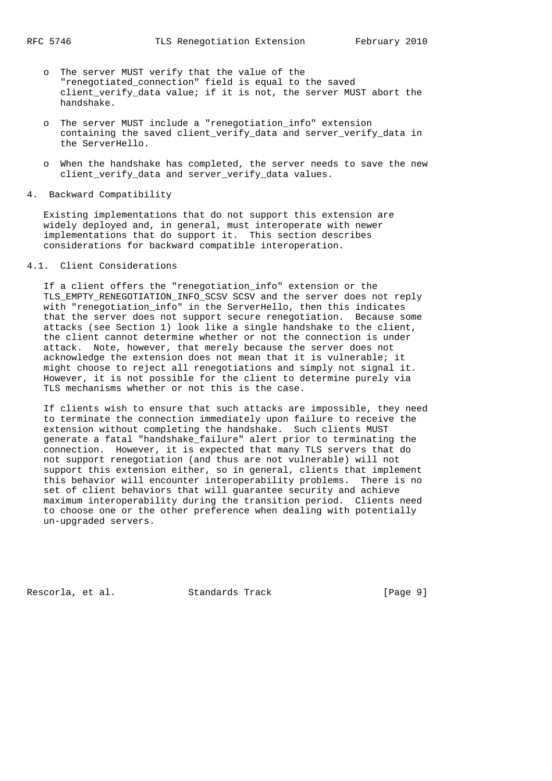- o The server MUST verify that the value of the "renegotiated\_connection" field is equal to the saved client\_verify\_data value; if it is not, the server MUST abort the handshake.
	- o The server MUST include a "renegotiation\_info" extension containing the saved client\_verify\_data and server\_verify\_data in the ServerHello.
	- o When the handshake has completed, the server needs to save the new client\_verify\_data and server\_verify\_data values.
- 4. Backward Compatibility

 Existing implementations that do not support this extension are widely deployed and, in general, must interoperate with newer implementations that do support it. This section describes considerations for backward compatible interoperation.

# 4.1. Client Considerations

 If a client offers the "renegotiation\_info" extension or the TLS\_EMPTY\_RENEGOTIATION\_INFO\_SCSV SCSV and the server does not reply with "renegotiation\_info" in the ServerHello, then this indicates that the server does not support secure renegotiation. Because some attacks (see Section 1) look like a single handshake to the client, the client cannot determine whether or not the connection is under attack. Note, however, that merely because the server does not acknowledge the extension does not mean that it is vulnerable; it might choose to reject all renegotiations and simply not signal it. However, it is not possible for the client to determine purely via TLS mechanisms whether or not this is the case.

 If clients wish to ensure that such attacks are impossible, they need to terminate the connection immediately upon failure to receive the extension without completing the handshake. Such clients MUST generate a fatal "handshake\_failure" alert prior to terminating the connection. However, it is expected that many TLS servers that do not support renegotiation (and thus are not vulnerable) will not support this extension either, so in general, clients that implement this behavior will encounter interoperability problems. There is no set of client behaviors that will guarantee security and achieve maximum interoperability during the transition period. Clients need to choose one or the other preference when dealing with potentially un-upgraded servers.

Rescorla, et al. Standards Track [Page 9]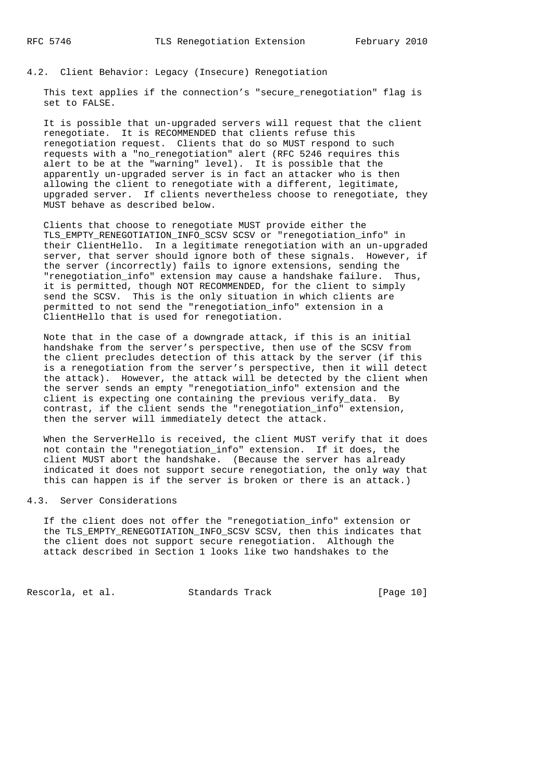## 4.2. Client Behavior: Legacy (Insecure) Renegotiation

This text applies if the connection's "secure renegotiation" flag is set to FALSE.

 It is possible that un-upgraded servers will request that the client renegotiate. It is RECOMMENDED that clients refuse this renegotiation request. Clients that do so MUST respond to such requests with a "no\_renegotiation" alert (RFC 5246 requires this alert to be at the "warning" level). It is possible that the apparently un-upgraded server is in fact an attacker who is then allowing the client to renegotiate with a different, legitimate, upgraded server. If clients nevertheless choose to renegotiate, they MUST behave as described below.

 Clients that choose to renegotiate MUST provide either the TLS\_EMPTY\_RENEGOTIATION\_INFO\_SCSV SCSV or "renegotiation\_info" in their ClientHello. In a legitimate renegotiation with an un-upgraded server, that server should ignore both of these signals. However, if the server (incorrectly) fails to ignore extensions, sending the "renegotiation\_info" extension may cause a handshake failure. Thus, it is permitted, though NOT RECOMMENDED, for the client to simply send the SCSV. This is the only situation in which clients are permitted to not send the "renegotiation\_info" extension in a ClientHello that is used for renegotiation.

 Note that in the case of a downgrade attack, if this is an initial handshake from the server's perspective, then use of the SCSV from the client precludes detection of this attack by the server (if this is a renegotiation from the server's perspective, then it will detect the attack). However, the attack will be detected by the client when the server sends an empty "renegotiation\_info" extension and the client is expecting one containing the previous verify\_data. By contrast, if the client sends the "renegotiation\_info" extension, then the server will immediately detect the attack.

 When the ServerHello is received, the client MUST verify that it does not contain the "renegotiation\_info" extension. If it does, the client MUST abort the handshake. (Because the server has already indicated it does not support secure renegotiation, the only way that this can happen is if the server is broken or there is an attack.)

### 4.3. Server Considerations

 If the client does not offer the "renegotiation\_info" extension or the TLS\_EMPTY\_RENEGOTIATION\_INFO\_SCSV SCSV, then this indicates that the client does not support secure renegotiation. Although the attack described in Section 1 looks like two handshakes to the

Rescorla, et al. Standards Track [Page 10]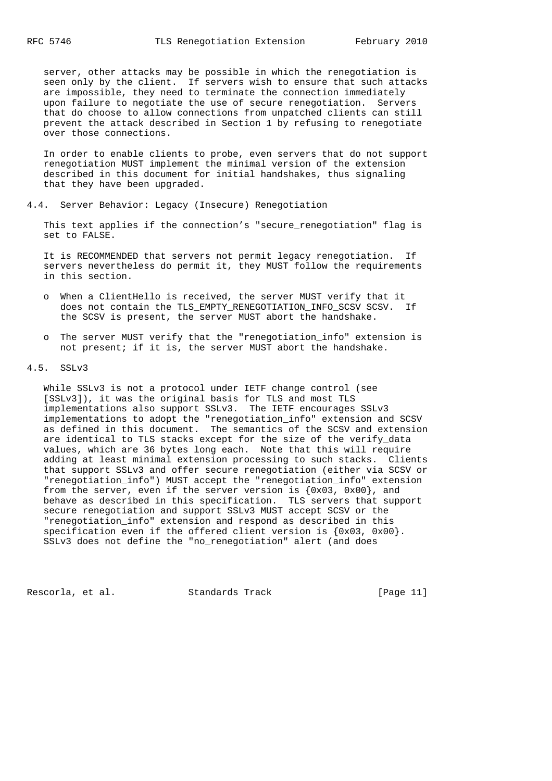server, other attacks may be possible in which the renegotiation is seen only by the client. If servers wish to ensure that such attacks are impossible, they need to terminate the connection immediately upon failure to negotiate the use of secure renegotiation. Servers that do choose to allow connections from unpatched clients can still prevent the attack described in Section 1 by refusing to renegotiate over those connections.

 In order to enable clients to probe, even servers that do not support renegotiation MUST implement the minimal version of the extension described in this document for initial handshakes, thus signaling that they have been upgraded.

4.4. Server Behavior: Legacy (Insecure) Renegotiation

 This text applies if the connection's "secure\_renegotiation" flag is set to FALSE.

 It is RECOMMENDED that servers not permit legacy renegotiation. If servers nevertheless do permit it, they MUST follow the requirements in this section.

- o When a ClientHello is received, the server MUST verify that it does not contain the TLS EMPTY RENEGOTIATION INFO SCSV SCSV. If the SCSV is present, the server MUST abort the handshake.
- o The server MUST verify that the "renegotiation\_info" extension is not present; if it is, the server MUST abort the handshake.

4.5. SSLv3

 While SSLv3 is not a protocol under IETF change control (see [SSLv3]), it was the original basis for TLS and most TLS implementations also support SSLv3. The IETF encourages SSLv3 implementations to adopt the "renegotiation\_info" extension and SCSV as defined in this document. The semantics of the SCSV and extension are identical to TLS stacks except for the size of the verify\_data values, which are 36 bytes long each. Note that this will require adding at least minimal extension processing to such stacks. Clients that support SSLv3 and offer secure renegotiation (either via SCSV or "renegotiation\_info") MUST accept the "renegotiation\_info" extension from the server, even if the server version is  $\{0x03, 0x00\}$ , and behave as described in this specification. TLS servers that support secure renegotiation and support SSLv3 MUST accept SCSV or the "renegotiation\_info" extension and respond as described in this specification even if the offered client version is  ${0x03, 0x00}.$ SSLv3 does not define the "no\_renegotiation" alert (and does

Rescorla, et al. Standards Track [Page 11]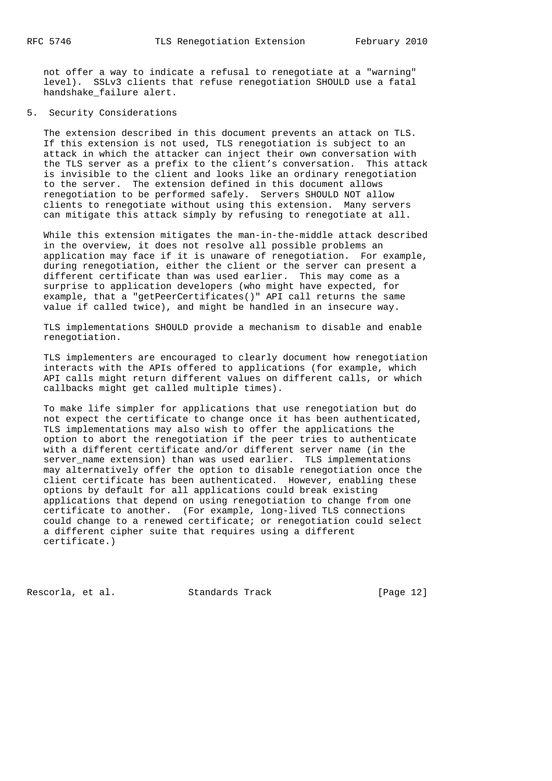not offer a way to indicate a refusal to renegotiate at a "warning" level). SSLv3 clients that refuse renegotiation SHOULD use a fatal handshake failure alert.

## 5. Security Considerations

 The extension described in this document prevents an attack on TLS. If this extension is not used, TLS renegotiation is subject to an attack in which the attacker can inject their own conversation with the TLS server as a prefix to the client's conversation. This attack is invisible to the client and looks like an ordinary renegotiation to the server. The extension defined in this document allows renegotiation to be performed safely. Servers SHOULD NOT allow clients to renegotiate without using this extension. Many servers can mitigate this attack simply by refusing to renegotiate at all.

 While this extension mitigates the man-in-the-middle attack described in the overview, it does not resolve all possible problems an application may face if it is unaware of renegotiation. For example, during renegotiation, either the client or the server can present a different certificate than was used earlier. This may come as a surprise to application developers (who might have expected, for example, that a "getPeerCertificates()" API call returns the same value if called twice), and might be handled in an insecure way.

 TLS implementations SHOULD provide a mechanism to disable and enable renegotiation.

 TLS implementers are encouraged to clearly document how renegotiation interacts with the APIs offered to applications (for example, which API calls might return different values on different calls, or which callbacks might get called multiple times).

 To make life simpler for applications that use renegotiation but do not expect the certificate to change once it has been authenticated, TLS implementations may also wish to offer the applications the option to abort the renegotiation if the peer tries to authenticate with a different certificate and/or different server name (in the server\_name extension) than was used earlier. TLS implementations may alternatively offer the option to disable renegotiation once the client certificate has been authenticated. However, enabling these options by default for all applications could break existing applications that depend on using renegotiation to change from one certificate to another. (For example, long-lived TLS connections could change to a renewed certificate; or renegotiation could select a different cipher suite that requires using a different certificate.)

Rescorla, et al. Standards Track [Page 12]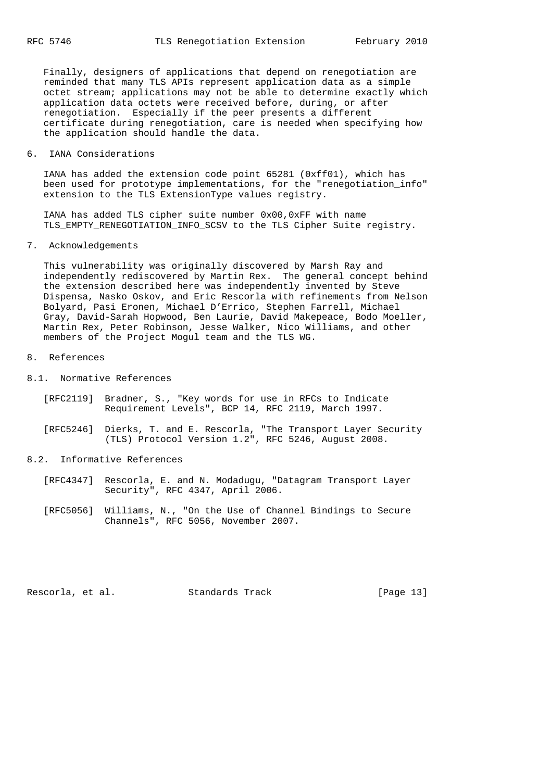Finally, designers of applications that depend on renegotiation are reminded that many TLS APIs represent application data as a simple octet stream; applications may not be able to determine exactly which application data octets were received before, during, or after renegotiation. Especially if the peer presents a different certificate during renegotiation, care is needed when specifying how the application should handle the data.

6. IANA Considerations

 IANA has added the extension code point 65281 (0xff01), which has been used for prototype implementations, for the "renegotiation info" extension to the TLS ExtensionType values registry.

 IANA has added TLS cipher suite number 0x00,0xFF with name TLS\_EMPTY\_RENEGOTIATION\_INFO\_SCSV to the TLS Cipher Suite registry.

7. Acknowledgements

 This vulnerability was originally discovered by Marsh Ray and independently rediscovered by Martin Rex. The general concept behind the extension described here was independently invented by Steve Dispensa, Nasko Oskov, and Eric Rescorla with refinements from Nelson Bolyard, Pasi Eronen, Michael D'Errico, Stephen Farrell, Michael Gray, David-Sarah Hopwood, Ben Laurie, David Makepeace, Bodo Moeller, Martin Rex, Peter Robinson, Jesse Walker, Nico Williams, and other members of the Project Mogul team and the TLS WG.

- 8. References
- 8.1. Normative References
	- [RFC2119] Bradner, S., "Key words for use in RFCs to Indicate Requirement Levels", BCP 14, RFC 2119, March 1997.
	- [RFC5246] Dierks, T. and E. Rescorla, "The Transport Layer Security (TLS) Protocol Version 1.2", RFC 5246, August 2008.
- 8.2. Informative References
	- [RFC4347] Rescorla, E. and N. Modadugu, "Datagram Transport Layer Security", RFC 4347, April 2006.
	- [RFC5056] Williams, N., "On the Use of Channel Bindings to Secure Channels", RFC 5056, November 2007.

Rescorla, et al. Standards Track [Page 13]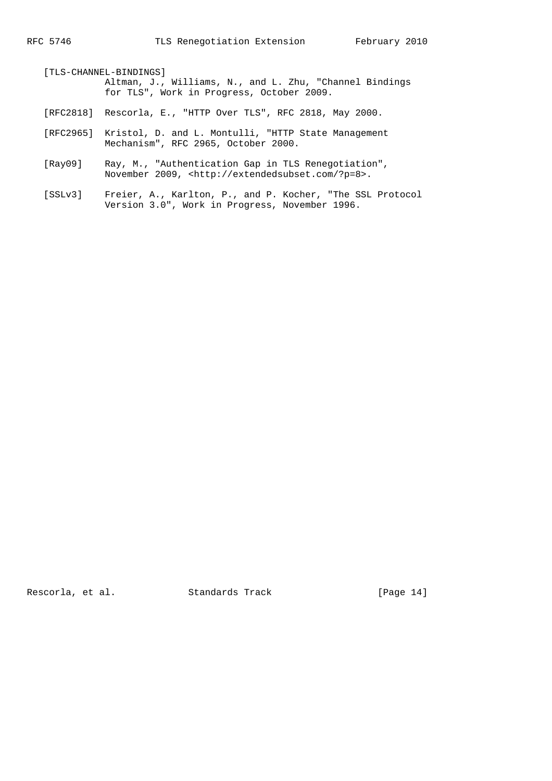[TLS-CHANNEL-BINDINGS] Altman, J., Williams, N., and L. Zhu, "Channel Bindings for TLS", Work in Progress, October 2009.

- [RFC2818] Rescorla, E., "HTTP Over TLS", RFC 2818, May 2000.
- [RFC2965] Kristol, D. and L. Montulli, "HTTP State Management Mechanism", RFC 2965, October 2000.
- [Ray09] Ray, M., "Authentication Gap in TLS Renegotiation", November 2009, <http://extendedsubset.com/?p=8>.
- [SSLv3] Freier, A., Karlton, P., and P. Kocher, "The SSL Protocol Version 3.0", Work in Progress, November 1996.

Rescorla, et al. Standards Track [Page 14]